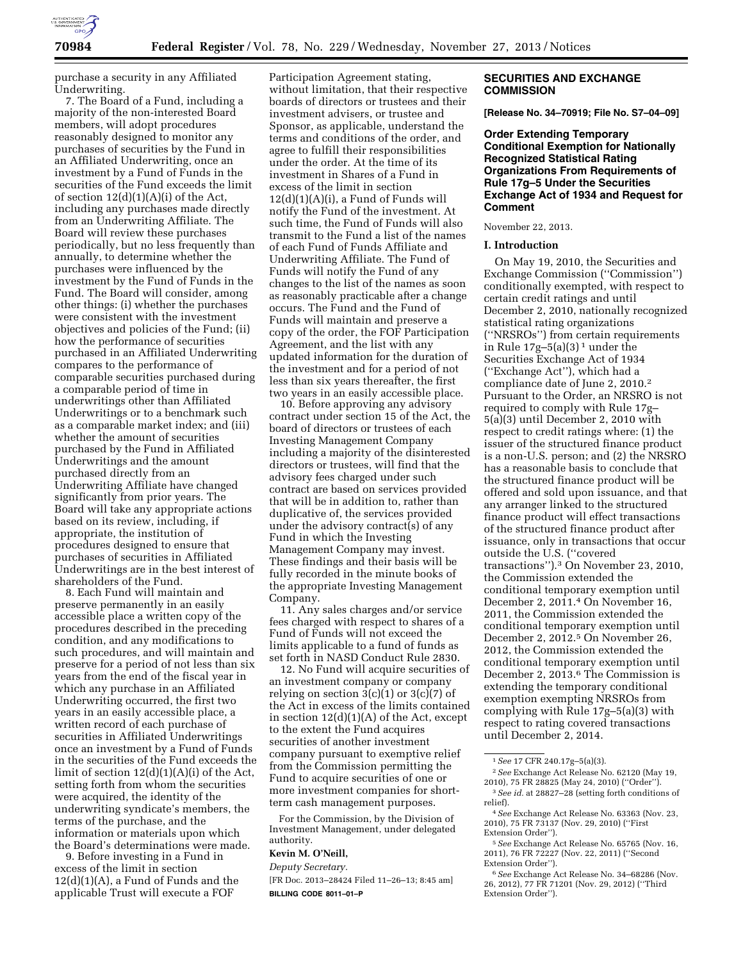

purchase a security in any Affiliated Underwriting.

7. The Board of a Fund, including a majority of the non-interested Board members, will adopt procedures reasonably designed to monitor any purchases of securities by the Fund in an Affiliated Underwriting, once an investment by a Fund of Funds in the securities of the Fund exceeds the limit of section 12(d)(1)(A)(i) of the Act, including any purchases made directly from an Underwriting Affiliate. The Board will review these purchases periodically, but no less frequently than annually, to determine whether the purchases were influenced by the investment by the Fund of Funds in the Fund. The Board will consider, among other things: (i) whether the purchases were consistent with the investment objectives and policies of the Fund; (ii) how the performance of securities purchased in an Affiliated Underwriting compares to the performance of comparable securities purchased during a comparable period of time in underwritings other than Affiliated Underwritings or to a benchmark such as a comparable market index; and (iii) whether the amount of securities purchased by the Fund in Affiliated Underwritings and the amount purchased directly from an Underwriting Affiliate have changed significantly from prior years. The Board will take any appropriate actions based on its review, including, if appropriate, the institution of procedures designed to ensure that purchases of securities in Affiliated Underwritings are in the best interest of shareholders of the Fund.

8. Each Fund will maintain and preserve permanently in an easily accessible place a written copy of the procedures described in the preceding condition, and any modifications to such procedures, and will maintain and preserve for a period of not less than six years from the end of the fiscal year in which any purchase in an Affiliated Underwriting occurred, the first two years in an easily accessible place, a written record of each purchase of securities in Affiliated Underwritings once an investment by a Fund of Funds in the securities of the Fund exceeds the limit of section  $12(d)(1)(A)(i)$  of the Act, setting forth from whom the securities were acquired, the identity of the underwriting syndicate's members, the terms of the purchase, and the information or materials upon which the Board's determinations were made.

9. Before investing in a Fund in excess of the limit in section  $12(d)(1)(A)$ , a Fund of Funds and the applicable Trust will execute a FOF

Participation Agreement stating, without limitation, that their respective boards of directors or trustees and their investment advisers, or trustee and Sponsor, as applicable, understand the terms and conditions of the order, and agree to fulfill their responsibilities under the order. At the time of its investment in Shares of a Fund in excess of the limit in section  $12(d)(1)(A)(i)$ , a Fund of Funds will notify the Fund of the investment. At such time, the Fund of Funds will also transmit to the Fund a list of the names of each Fund of Funds Affiliate and Underwriting Affiliate. The Fund of Funds will notify the Fund of any changes to the list of the names as soon as reasonably practicable after a change occurs. The Fund and the Fund of Funds will maintain and preserve a copy of the order, the FOF Participation Agreement, and the list with any updated information for the duration of the investment and for a period of not less than six years thereafter, the first two years in an easily accessible place.

10. Before approving any advisory contract under section 15 of the Act, the board of directors or trustees of each Investing Management Company including a majority of the disinterested directors or trustees, will find that the advisory fees charged under such contract are based on services provided that will be in addition to, rather than duplicative of, the services provided under the advisory contract(s) of any Fund in which the Investing Management Company may invest. These findings and their basis will be fully recorded in the minute books of the appropriate Investing Management Company.

11. Any sales charges and/or service fees charged with respect to shares of a Fund of Funds will not exceed the limits applicable to a fund of funds as set forth in NASD Conduct Rule 2830.

12. No Fund will acquire securities of an investment company or company relying on section 3(c)(1) or 3(c)(7) of the Act in excess of the limits contained in section 12(d)(1)(A) of the Act, except to the extent the Fund acquires securities of another investment company pursuant to exemptive relief from the Commission permitting the Fund to acquire securities of one or more investment companies for shortterm cash management purposes.

For the Commission, by the Division of Investment Management, under delegated authority.

#### **Kevin M. O'Neill,**

*Deputy Secretary.* 

[FR Doc. 2013–28424 Filed 11–26–13; 8:45 am] **BILLING CODE 8011–01–P** 

# **SECURITIES AND EXCHANGE COMMISSION**

**[Release No. 34–70919; File No. S7–04–09]** 

**Order Extending Temporary Conditional Exemption for Nationally Recognized Statistical Rating Organizations From Requirements of Rule 17g–5 Under the Securities Exchange Act of 1934 and Request for Comment** 

# November 22, 2013.

## **I. Introduction**

On May 19, 2010, the Securities and Exchange Commission (''Commission'') conditionally exempted, with respect to certain credit ratings and until December 2, 2010, nationally recognized statistical rating organizations (''NRSROs'') from certain requirements in Rule  $17g-5(a)(3)^1$  under the Securities Exchange Act of 1934 (''Exchange Act''), which had a compliance date of June 2, 2010.2 Pursuant to the Order, an NRSRO is not required to comply with Rule 17g– 5(a)(3) until December 2, 2010 with respect to credit ratings where: (1) the issuer of the structured finance product is a non-U.S. person; and (2) the NRSRO has a reasonable basis to conclude that the structured finance product will be offered and sold upon issuance, and that any arranger linked to the structured finance product will effect transactions of the structured finance product after issuance, only in transactions that occur outside the U.S. (''covered transactions'').3 On November 23, 2010, the Commission extended the conditional temporary exemption until December 2, 2011.4 On November 16, 2011, the Commission extended the conditional temporary exemption until December 2, 2012.5 On November 26, 2012, the Commission extended the conditional temporary exemption until December 2, 2013.6 The Commission is extending the temporary conditional exemption exempting NRSROs from complying with Rule 17g–5(a)(3) with respect to rating covered transactions until December 2, 2014.

<sup>1</sup>*See* 17 CFR 240.17g–5(a)(3).

<sup>2</sup>*See* Exchange Act Release No. 62120 (May 19, 2010), 75 FR 28825 (May 24, 2010) (''Order''). 3*See id.* at 28827–28 (setting forth conditions of

relief). 4*See* Exchange Act Release No. 63363 (Nov. 23,

<sup>2010), 75</sup> FR 73137 (Nov. 29, 2010) (''First Extension Order'').

<sup>5</sup>*See* Exchange Act Release No. 65765 (Nov. 16, 2011), 76 FR 72227 (Nov. 22, 2011) (''Second Extension Order'').

<sup>6</sup>*See* Exchange Act Release No. 34–68286 (Nov. 26, 2012), 77 FR 71201 (Nov. 29, 2012) (''Third Extension Order'').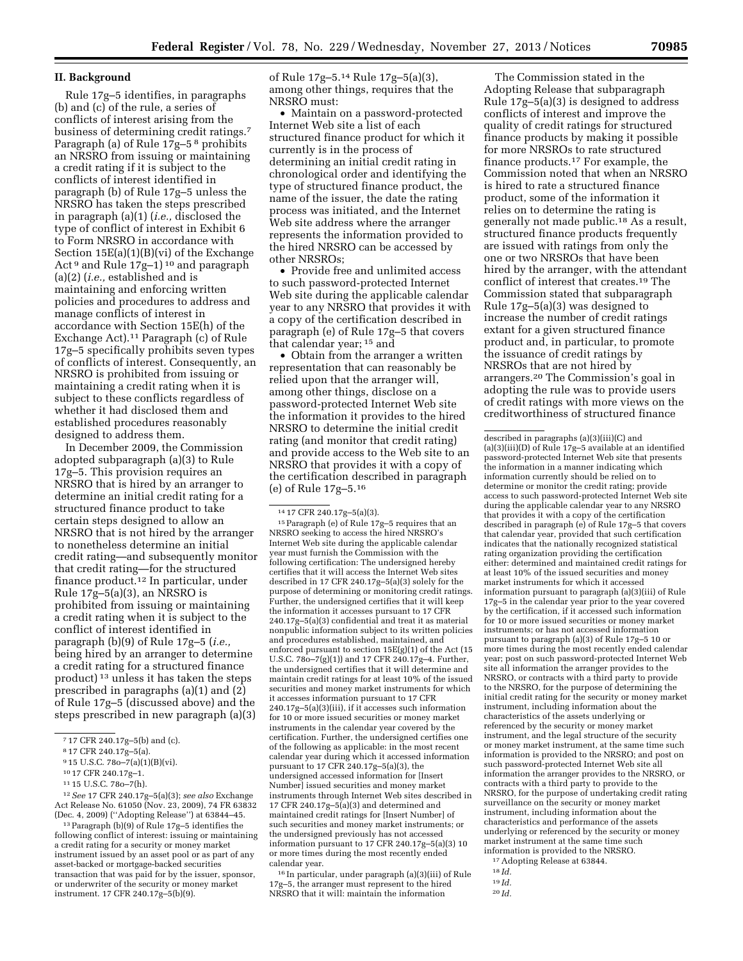# **II. Background**

Rule 17g–5 identifies, in paragraphs (b) and (c) of the rule, a series of conflicts of interest arising from the business of determining credit ratings.7 Paragraph (a) of Rule 17g–5 8 prohibits an NRSRO from issuing or maintaining a credit rating if it is subject to the conflicts of interest identified in paragraph (b) of Rule 17g–5 unless the NRSRO has taken the steps prescribed in paragraph (a)(1) (*i.e.,* disclosed the type of conflict of interest in Exhibit 6 to Form NRSRO in accordance with Section 15E(a)(1)(B)(vi) of the Exchange Act<sup>9</sup> and Rule 17g-1)<sup>10</sup> and paragraph (a)(2) (*i.e.,* established and is maintaining and enforcing written policies and procedures to address and manage conflicts of interest in accordance with Section 15E(h) of the Exchange Act).11 Paragraph (c) of Rule 17g–5 specifically prohibits seven types of conflicts of interest. Consequently, an NRSRO is prohibited from issuing or maintaining a credit rating when it is subject to these conflicts regardless of whether it had disclosed them and established procedures reasonably designed to address them.

In December 2009, the Commission adopted subparagraph (a)(3) to Rule 17g–5. This provision requires an NRSRO that is hired by an arranger to determine an initial credit rating for a structured finance product to take certain steps designed to allow an NRSRO that is not hired by the arranger to nonetheless determine an initial credit rating—and subsequently monitor that credit rating—for the structured finance product.12 In particular, under Rule 17g–5(a)(3), an NRSRO is prohibited from issuing or maintaining a credit rating when it is subject to the conflict of interest identified in paragraph (b)(9) of Rule 17g–5 (*i.e.,*  being hired by an arranger to determine a credit rating for a structured finance product) 13 unless it has taken the steps prescribed in paragraphs (a)(1) and (2) of Rule 17g–5 (discussed above) and the steps prescribed in new paragraph (a)(3)

of Rule 17g–5.14 Rule 17g–5(a)(3), among other things, requires that the NRSRO must:

• Maintain on a password-protected Internet Web site a list of each structured finance product for which it currently is in the process of determining an initial credit rating in chronological order and identifying the type of structured finance product, the name of the issuer, the date the rating process was initiated, and the Internet Web site address where the arranger represents the information provided to the hired NRSRO can be accessed by other NRSROs;

• Provide free and unlimited access to such password-protected Internet Web site during the applicable calendar year to any NRSRO that provides it with a copy of the certification described in paragraph (e) of Rule 17g–5 that covers that calendar year; 15 and

• Obtain from the arranger a written representation that can reasonably be relied upon that the arranger will, among other things, disclose on a password-protected Internet Web site the information it provides to the hired NRSRO to determine the initial credit rating (and monitor that credit rating) and provide access to the Web site to an NRSRO that provides it with a copy of the certification described in paragraph (e) of Rule 17g–5.16

14 17 CFR 240.17g–5(a)(3).

15Paragraph (e) of Rule 17g–5 requires that an NRSRO seeking to access the hired NRSRO's Internet Web site during the applicable calendar year must furnish the Commission with the following certification: The undersigned hereby certifies that it will access the Internet Web sites described in 17 CFR 240.17g–5(a)(3) solely for the purpose of determining or monitoring credit ratings. Further, the undersigned certifies that it will keep the information it accesses pursuant to 17 CFR 240.17g–5(a)(3) confidential and treat it as material nonpublic information subject to its written policies and procedures established, maintained, and enforced pursuant to section 15E(g)(1) of the Act (15 U.S.C. 78o–7(g)(1)) and 17 CFR 240.17g–4. Further, the undersigned certifies that it will determine and maintain credit ratings for at least 10% of the issued securities and money market instruments for which it accesses information pursuant to 17 CFR 240.17g–5(a)(3)(iii), if it accesses such information for 10 or more issued securities or money market instruments in the calendar year covered by the certification. Further, the undersigned certifies one of the following as applicable: in the most recent calendar year during which it accessed information pursuant to 17 CFR 240.17g–5(a)(3), the undersigned accessed information for [Insert Number] issued securities and money market instruments through Internet Web sites described in 17 CFR 240.17g–5(a)(3) and determined and maintained credit ratings for [Insert Number] of such securities and money market instruments; or the undersigned previously has not accessed information pursuant to 17 CFR 240.17g–5(a)(3) 10 or more times during the most recently ended calendar year.

16 In particular, under paragraph (a)(3)(iii) of Rule 17g–5, the arranger must represent to the hired NRSRO that it will: maintain the information

The Commission stated in the Adopting Release that subparagraph Rule 17g–5(a)(3) is designed to address conflicts of interest and improve the quality of credit ratings for structured finance products by making it possible for more NRSROs to rate structured finance products.17 For example, the Commission noted that when an NRSRO is hired to rate a structured finance product, some of the information it relies on to determine the rating is generally not made public.18 As a result, structured finance products frequently are issued with ratings from only the one or two NRSROs that have been hired by the arranger, with the attendant conflict of interest that creates.19 The Commission stated that subparagraph Rule 17g–5(a)(3) was designed to increase the number of credit ratings extant for a given structured finance product and, in particular, to promote the issuance of credit ratings by NRSROs that are not hired by arrangers.20 The Commission's goal in adopting the rule was to provide users of credit ratings with more views on the creditworthiness of structured finance

20 *Id.* 

<sup>7</sup> 17 CFR 240.17g–5(b) and (c).

<sup>8</sup> 17 CFR 240.17g–5(a).

<sup>9</sup> 15 U.S.C. 78o–7(a)(1)(B)(vi).

<sup>10</sup> 17 CFR 240.17g–1.

<sup>11</sup> 15 U.S.C. 78o–7(h).

<sup>12</sup>*See* 17 CFR 240.17g–5(a)(3); *see also* Exchange Act Release No. 61050 (Nov. 23, 2009), 74 FR 63832 (Dec. 4, 2009) (''Adopting Release'') at 63844–45.

<sup>13</sup>Paragraph (b)(9) of Rule 17g–5 identifies the following conflict of interest: issuing or maintaining a credit rating for a security or money market instrument issued by an asset pool or as part of any asset-backed or mortgage-backed securities transaction that was paid for by the issuer, sponsor, or underwriter of the security or money market instrument. 17 CFR 240.17g–5(b)(9).

described in paragraphs (a)(3)(iii)(C) and (a)(3)(iii)(D) of Rule  $17g-5$  available at an identified password-protected Internet Web site that presents the information in a manner indicating which information currently should be relied on to determine or monitor the credit rating; provide access to such password-protected Internet Web site during the applicable calendar year to any NRSRO that provides it with a copy of the certification described in paragraph (e) of Rule 17g–5 that covers that calendar year, provided that such certification indicates that the nationally recognized statistical rating organization providing the certification either: determined and maintained credit ratings for at least 10% of the issued securities and money market instruments for which it accessed information pursuant to paragraph (a)(3)(iii) of Rule 17g–5 in the calendar year prior to the year covered by the certification, if it accessed such information for 10 or more issued securities or money market instruments; or has not accessed information pursuant to paragraph (a)(3) of Rule 17g–5 10 or more times during the most recently ended calendar year; post on such password-protected Internet Web site all information the arranger provides to the NRSRO, or contracts with a third party to provide to the NRSRO, for the purpose of determining the initial credit rating for the security or money market instrument, including information about the characteristics of the assets underlying or referenced by the security or money market instrument, and the legal structure of the security or money market instrument, at the same time such information is provided to the NRSRO; and post on such password-protected Internet Web site all information the arranger provides to the NRSRO, or contracts with a third party to provide to the NRSRO, for the purpose of undertaking credit rating surveillance on the security or money market instrument, including information about the characteristics and performance of the assets underlying or referenced by the security or money market instrument at the same time such information is provided to the NRSRO. 17Adopting Release at 63844.

<sup>18</sup> *Id.* 

<sup>19</sup> *Id.*